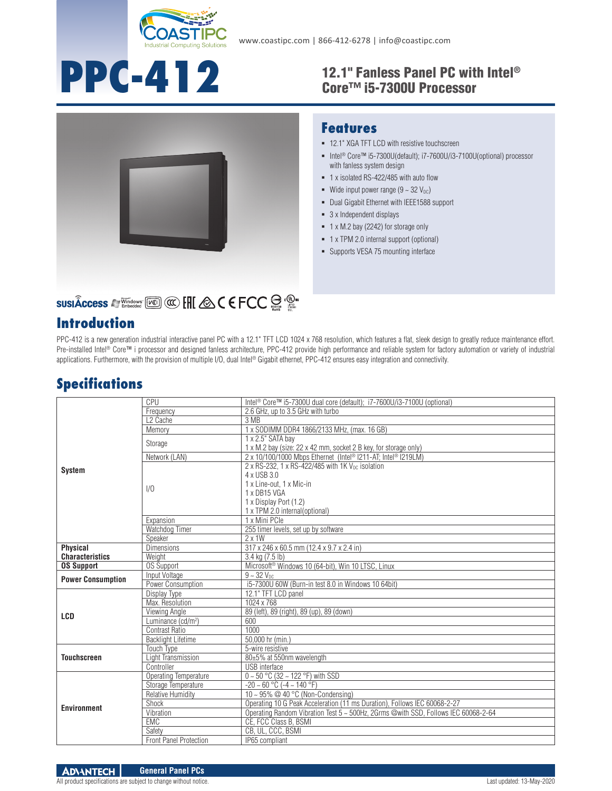

# **PPC-412**

## 12.1" Fanless Panel PC with Intel®



### **SUSIÂCCESS A Windows [Kell] @ [HI & C E FCC SE : 2019**

### **Introduction**

### Core™ i5-7300U Processor

#### **Features** 12.1" XGA TFT LCD with resistive touchscreen

- Intel<sup>®</sup> Core™ i5-7300U(default); i7-7600U/i3-7100U(optional) processor with fanless system design
- 1 x isolated RS-422/485 with auto flow
- Wide input power range  $(9 \sim 32 \text{ V}_{\text{DC}})$
- **-** Dual Gigabit Ethernet with IEEE1588 support
- 3 x Independent displays
- 1 x M.2 bay (2242) for storage only
- 1 x TPM 2.0 internal support (optional)
- **Supports VESA 75 mounting interface**

PPC-412 is a new generation industrial interactive panel PC with a 12.1" TFT LCD 1024 x 768 resolution, which features a flat, sleek design to greatly reduce maintenance effort. Pre-installed Intel® Core™ i processor and designed fanless architecture, PPC-412 provide high performance and reliable system for factory automation or variety of industrial applications. Furthermore, with the provision of multiple I/O, dual Intel® Gigabit ethernet, PPC-412 ensures easy integration and connectivity.

### **Specifications**

|                          | CPU                            | Intel <sup>®</sup> Core™ i5-7300U dual core (default); i7-7600U/i3-7100U (optional) |
|--------------------------|--------------------------------|-------------------------------------------------------------------------------------|
| <b>System</b>            | Frequency                      | 2.6 GHz, up to 3.5 GHz with turbo                                                   |
|                          | L <sub>2</sub> Cache           | 3 MB                                                                                |
|                          | Memory                         | 1 x SODIMM DDR4 1866/2133 MHz, (max. 16 GB)                                         |
|                          | Storage                        | 1 x 2.5" SATA bay                                                                   |
|                          |                                | 1 x M.2 bay (size: 22 x 42 mm, socket 2 B key, for storage only)                    |
|                          | Network (LAN)                  | 2 x 10/100/1000 Mbps Ethernet (Intel® I211-AT; Intel® I219LM)                       |
|                          |                                | 2 x RS-232, 1 x RS-422/485 with 1K $V_{DC}$ isolation                               |
|                          |                                | 4 x USB 3.0                                                                         |
|                          | 1/0                            | 1 x Line-out. 1 x Mic-in                                                            |
|                          |                                | 1 x DB15 VGA                                                                        |
|                          |                                | 1 x Display Port (1.2)                                                              |
|                          |                                | 1 x TPM 2.0 internal(optional)                                                      |
|                          | Expansion                      | 1 x Mini PCle                                                                       |
|                          | Watchdog Timer                 | 255 timer levels, set up by software                                                |
|                          | Speaker                        | $2 \times 1W$                                                                       |
| <b>Physical</b>          | <b>Dimensions</b>              | 317 x 246 x 60.5 mm (12.4 x 9.7 x 2.4 in)                                           |
| <b>Characteristics</b>   | Weight                         | 3.4 kg (7.5 lb)                                                                     |
| <b>OS Support</b>        | <b>OS Support</b>              | Microsoft <sup>®</sup> Windows 10 (64-bit), Win 10 LTSC, Linux                      |
| <b>Power Consumption</b> | Input Voltage                  | $9 - 32$ V <sub>DC</sub>                                                            |
|                          | Power Consumption              | i5-7300U 60W (Burn-in test 8.0 in Windows 10 64bit)                                 |
| LCD                      | Display Type                   | 12.1" TFT LCD panel                                                                 |
|                          | Max. Resolution                | 1024 x 768                                                                          |
|                          | Viewing Angle                  | 89 (left), 89 (right), 89 (up), 89 (down)                                           |
|                          | Luminance (cd/m <sup>2</sup> ) | 600                                                                                 |
|                          | Contrast Ratio                 | 1000                                                                                |
|                          | <b>Backlight Lifetime</b>      | 50,000 hr (min.)                                                                    |
| <b>Touchscreen</b>       | <b>Touch Type</b>              | 5-wire resistive                                                                    |
|                          | Light Transmission             | 80±5% at 550nm wavelength                                                           |
|                          | Controller                     | <b>USB</b> interface                                                                |
| <b>Environment</b>       | Operating Temperature          | $0 \sim 50$ °C (32 ~ 122 °F) with SSD                                               |
|                          | Storage Temperature            | $-20 \sim 60$ °C ( $-4 \sim 140$ °F)                                                |
|                          | <b>Relative Humidity</b>       | 10 ~ 95% @ 40 °C (Non-Condensing)                                                   |
|                          | Shock                          | Operating 10 G Peak Acceleration (11 ms Duration), Follows IEC 60068-2-27           |
|                          | Vibration                      | Operating Random Vibration Test 5 ~ 500Hz, 2Grms @with SSD, Follows IEC 60068-2-64  |
|                          | <b>EMC</b>                     | CE, FCC Class B, BSMI                                                               |
|                          | Safety                         | CB, UL, CCC, BSMI                                                                   |
|                          | <b>Front Panel Protection</b>  | IP65 compliant                                                                      |